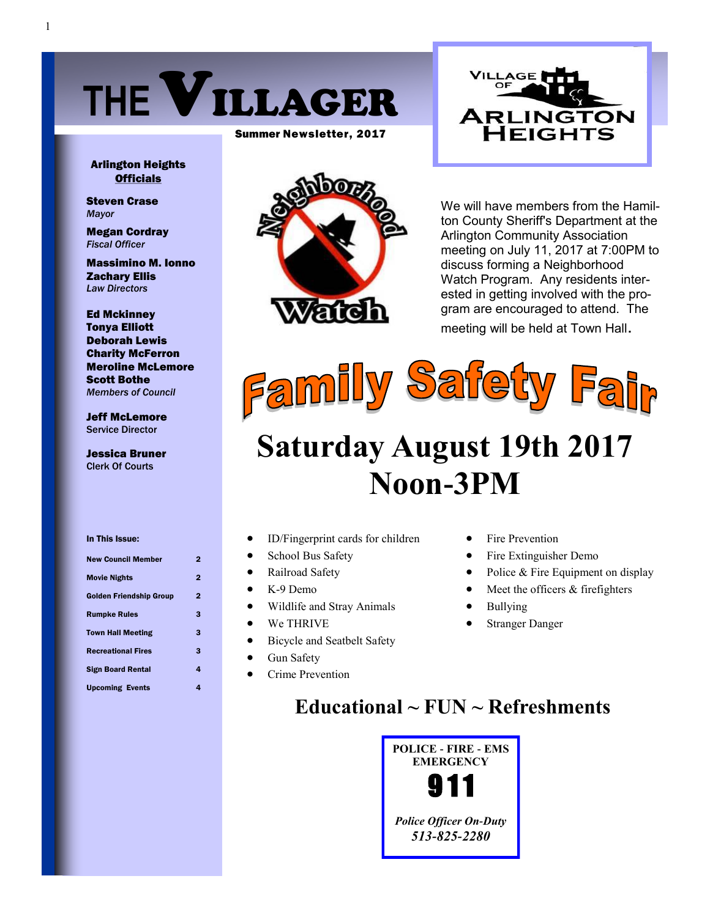

Summer Newsletter, 2017



Arlington Heights **Officials** 

Steven Crase *Mayor*

Megan Cordray *Fiscal Officer*

Massimino M. Ionno Zachary Ellis *Law Directors*

Ed Mckinney Tonya Elliott Deborah Lewis Charity McFerron Meroline McLemore Scott Bothe *Members of Council*

Jeff McLemore Service Director

Jessica Bruner Clerk Of Courts

In This Issue: New Council Member 2 Movie Nights 2 Golden Friendship Group 2 Rumpke Rules 3 Town Hall Meeting 3 Recreational Fires 3

Sign Board Rental 4 Upcoming Events 4



We will have members from the Hamilton County Sheriff's Department at the Arlington Community Association meeting on July 11, 2017 at 7:00PM to discuss forming a Neighborhood Watch Program. Any residents interested in getting involved with the program are encouraged to attend. The meeting will be held at Town Hall.



# **Saturday August 19th 2017 Noon-3PM**

- ID/Fingerprint cards for children
- School Bus Safety
- Railroad Safety
- K-9 Demo
- Wildlife and Stray Animals
- We THRIVE
- Bicycle and Seatbelt Safety
- Gun Safety
- Crime Prevention
- Fire Prevention
- Fire Extinguisher Demo
- Police & Fire Equipment on display
- Meet the officers & firefighters
- Bullying
- Stranger Danger

## **Educational ~ FUN ~ Refreshments**

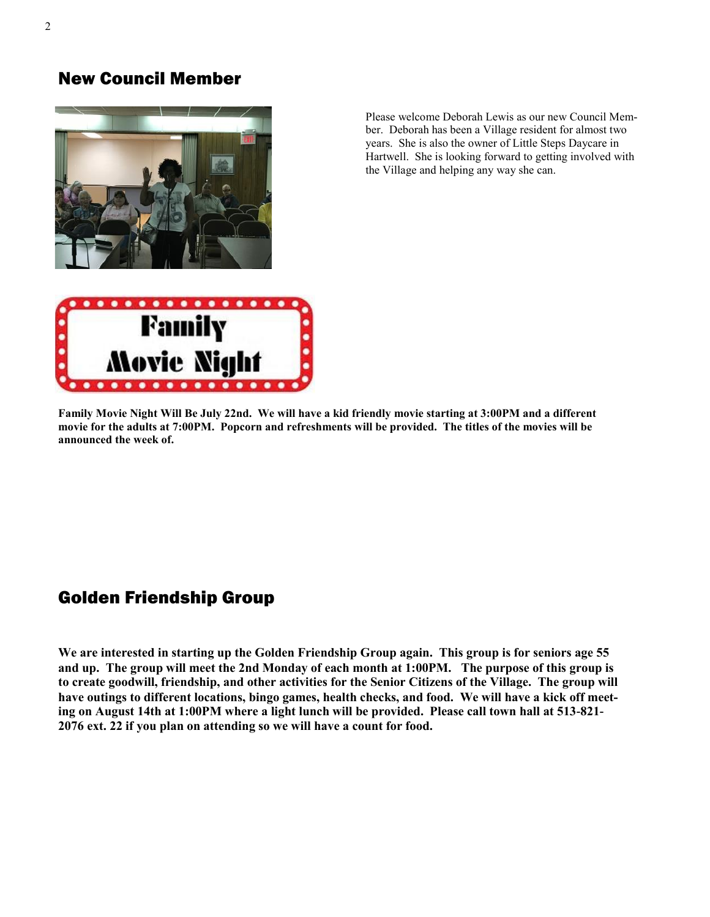## New Council Member



Please welcome Deborah Lewis as our new Council Member. Deborah has been a Village resident for almost two years. She is also the owner of Little Steps Daycare in Hartwell. She is looking forward to getting involved with the Village and helping any way she can.



**Family Movie Night Will Be July 22nd. We will have a kid friendly movie starting at 3:00PM and a different movie for the adults at 7:00PM. Popcorn and refreshments will be provided. The titles of the movies will be announced the week of.**

## Golden Friendship Group

**We are interested in starting up the Golden Friendship Group again. This group is for seniors age 55 and up. The group will meet the 2nd Monday of each month at 1:00PM. The purpose of this group is to create goodwill, friendship, and other activities for the Senior Citizens of the Village. The group will have outings to different locations, bingo games, health checks, and food. We will have a kick off meeting on August 14th at 1:00PM where a light lunch will be provided. Please call town hall at 513-821- 2076 ext. 22 if you plan on attending so we will have a count for food.**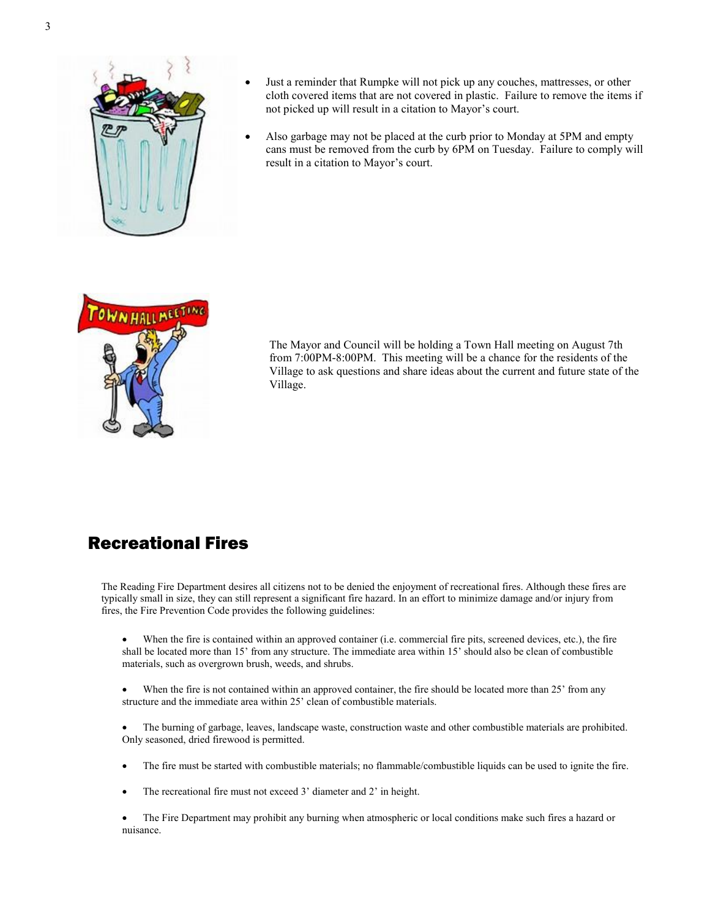

- Just a reminder that Rumpke will not pick up any couches, mattresses, or other cloth covered items that are not covered in plastic. Failure to remove the items if not picked up will result in a citation to Mayor's court.
- Also garbage may not be placed at the curb prior to Monday at 5PM and empty cans must be removed from the curb by 6PM on Tuesday. Failure to comply will result in a citation to Mayor's court.



The Mayor and Council will be holding a Town Hall meeting on August 7th from 7:00PM-8:00PM. This meeting will be a chance for the residents of the Village to ask questions and share ideas about the current and future state of the Village.

## Recreational Fires

The Reading Fire Department desires all citizens not to be denied the enjoyment of recreational fires. Although these fires are typically small in size, they can still represent a significant fire hazard. In an effort to minimize damage and/or injury from fires, the Fire Prevention Code provides the following guidelines:

- When the fire is contained within an approved container (i.e. commercial fire pits, screened devices, etc.), the fire shall be located more than 15' from any structure. The immediate area within 15' should also be clean of combustible materials, such as overgrown brush, weeds, and shrubs.
- When the fire is not contained within an approved container, the fire should be located more than 25' from any structure and the immediate area within 25' clean of combustible materials.
- The burning of garbage, leaves, landscape waste, construction waste and other combustible materials are prohibited. Only seasoned, dried firewood is permitted.
- The fire must be started with combustible materials; no flammable/combustible liquids can be used to ignite the fire.
- The recreational fire must not exceed 3' diameter and 2' in height.
- The Fire Department may prohibit any burning when atmospheric or local conditions make such fires a hazard or nuisance.